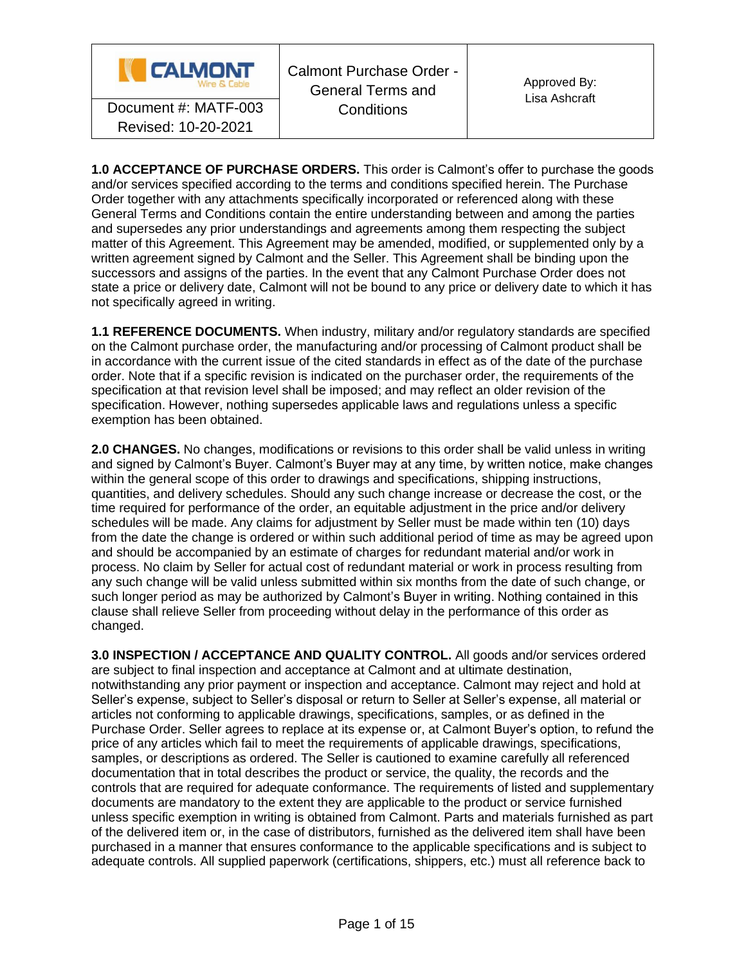

**1.0 ACCEPTANCE OF PURCHASE ORDERS.** This order is Calmont's offer to purchase the goods and/or services specified according to the terms and conditions specified herein. The Purchase Order together with any attachments specifically incorporated or referenced along with these General Terms and Conditions contain the entire understanding between and among the parties and supersedes any prior understandings and agreements among them respecting the subject matter of this Agreement. This Agreement may be amended, modified, or supplemented only by a written agreement signed by Calmont and the Seller. This Agreement shall be binding upon the successors and assigns of the parties. In the event that any Calmont Purchase Order does not state a price or delivery date, Calmont will not be bound to any price or delivery date to which it has not specifically agreed in writing.

**1.1 REFERENCE DOCUMENTS.** When industry, military and/or regulatory standards are specified on the Calmont purchase order, the manufacturing and/or processing of Calmont product shall be in accordance with the current issue of the cited standards in effect as of the date of the purchase order. Note that if a specific revision is indicated on the purchaser order, the requirements of the specification at that revision level shall be imposed; and may reflect an older revision of the specification. However, nothing supersedes applicable laws and regulations unless a specific exemption has been obtained.

**2.0 CHANGES.** No changes, modifications or revisions to this order shall be valid unless in writing and signed by Calmont's Buyer. Calmont's Buyer may at any time, by written notice, make changes within the general scope of this order to drawings and specifications, shipping instructions, quantities, and delivery schedules. Should any such change increase or decrease the cost, or the time required for performance of the order, an equitable adjustment in the price and/or delivery schedules will be made. Any claims for adjustment by Seller must be made within ten (10) days from the date the change is ordered or within such additional period of time as may be agreed upon and should be accompanied by an estimate of charges for redundant material and/or work in process. No claim by Seller for actual cost of redundant material or work in process resulting from any such change will be valid unless submitted within six months from the date of such change, or such longer period as may be authorized by Calmont's Buyer in writing. Nothing contained in this clause shall relieve Seller from proceeding without delay in the performance of this order as changed.

**3.0 INSPECTION / ACCEPTANCE AND QUALITY CONTROL.** All goods and/or services ordered are subject to final inspection and acceptance at Calmont and at ultimate destination, notwithstanding any prior payment or inspection and acceptance. Calmont may reject and hold at Seller's expense, subject to Seller's disposal or return to Seller at Seller's expense, all material or articles not conforming to applicable drawings, specifications, samples, or as defined in the Purchase Order. Seller agrees to replace at its expense or, at Calmont Buyer's option, to refund the price of any articles which fail to meet the requirements of applicable drawings, specifications, samples, or descriptions as ordered. The Seller is cautioned to examine carefully all referenced documentation that in total describes the product or service, the quality, the records and the controls that are required for adequate conformance. The requirements of listed and supplementary documents are mandatory to the extent they are applicable to the product or service furnished unless specific exemption in writing is obtained from Calmont. Parts and materials furnished as part of the delivered item or, in the case of distributors, furnished as the delivered item shall have been purchased in a manner that ensures conformance to the applicable specifications and is subject to adequate controls. All supplied paperwork (certifications, shippers, etc.) must all reference back to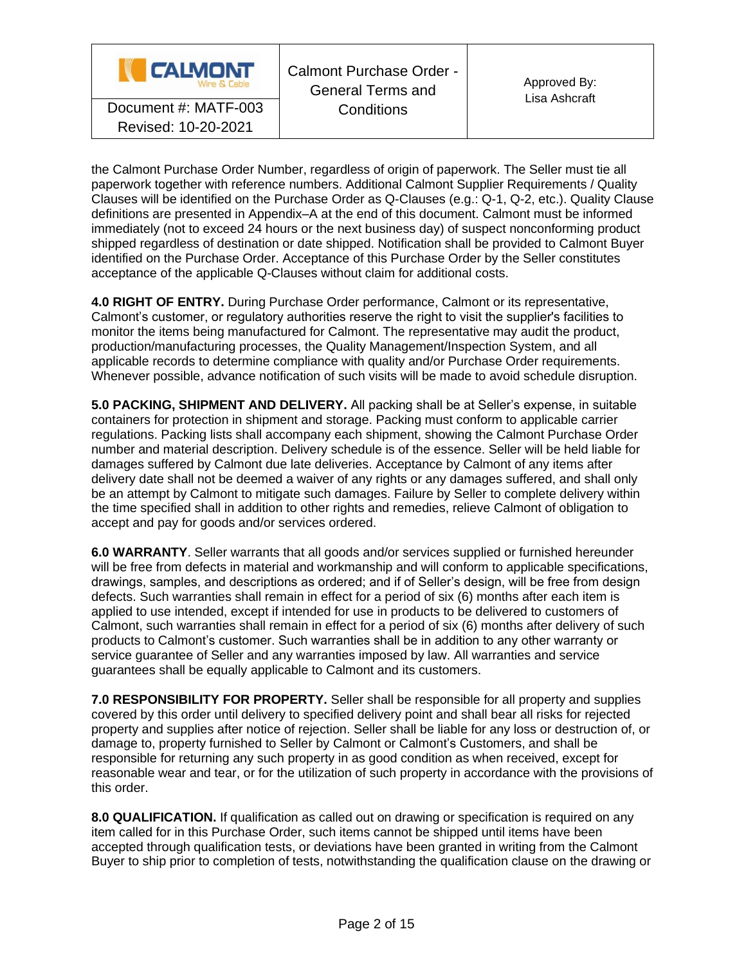

Calmont Purchase Order - General Terms and **Conditions** Document #: MATF-003 Conditions

the Calmont Purchase Order Number, regardless of origin of paperwork. The Seller must tie all paperwork together with reference numbers. Additional Calmont Supplier Requirements / Quality Clauses will be identified on the Purchase Order as Q-Clauses (e.g.: Q-1, Q-2, etc.). Quality Clause definitions are presented in Appendix–A at the end of this document. Calmont must be informed immediately (not to exceed 24 hours or the next business day) of suspect nonconforming product shipped regardless of destination or date shipped. Notification shall be provided to Calmont Buyer identified on the Purchase Order. Acceptance of this Purchase Order by the Seller constitutes acceptance of the applicable Q-Clauses without claim for additional costs.

**4.0 RIGHT OF ENTRY.** During Purchase Order performance, Calmont or its representative, Calmont's customer, or regulatory authorities reserve the right to visit the supplier's facilities to monitor the items being manufactured for Calmont. The representative may audit the product, production/manufacturing processes, the Quality Management/Inspection System, and all applicable records to determine compliance with quality and/or Purchase Order requirements. Whenever possible, advance notification of such visits will be made to avoid schedule disruption.

**5.0 PACKING, SHIPMENT AND DELIVERY.** All packing shall be at Seller's expense, in suitable containers for protection in shipment and storage. Packing must conform to applicable carrier regulations. Packing lists shall accompany each shipment, showing the Calmont Purchase Order number and material description. Delivery schedule is of the essence. Seller will be held liable for damages suffered by Calmont due late deliveries. Acceptance by Calmont of any items after delivery date shall not be deemed a waiver of any rights or any damages suffered, and shall only be an attempt by Calmont to mitigate such damages. Failure by Seller to complete delivery within the time specified shall in addition to other rights and remedies, relieve Calmont of obligation to accept and pay for goods and/or services ordered.

**6.0 WARRANTY**. Seller warrants that all goods and/or services supplied or furnished hereunder will be free from defects in material and workmanship and will conform to applicable specifications, drawings, samples, and descriptions as ordered; and if of Seller's design, will be free from design defects. Such warranties shall remain in effect for a period of six (6) months after each item is applied to use intended, except if intended for use in products to be delivered to customers of Calmont, such warranties shall remain in effect for a period of six (6) months after delivery of such products to Calmont's customer. Such warranties shall be in addition to any other warranty or service guarantee of Seller and any warranties imposed by law. All warranties and service guarantees shall be equally applicable to Calmont and its customers.

**7.0 RESPONSIBILITY FOR PROPERTY.** Seller shall be responsible for all property and supplies covered by this order until delivery to specified delivery point and shall bear all risks for rejected property and supplies after notice of rejection. Seller shall be liable for any loss or destruction of, or damage to, property furnished to Seller by Calmont or Calmont's Customers, and shall be responsible for returning any such property in as good condition as when received, except for reasonable wear and tear, or for the utilization of such property in accordance with the provisions of this order.

**8.0 QUALIFICATION.** If qualification as called out on drawing or specification is required on any item called for in this Purchase Order, such items cannot be shipped until items have been accepted through qualification tests, or deviations have been granted in writing from the Calmont Buyer to ship prior to completion of tests, notwithstanding the qualification clause on the drawing or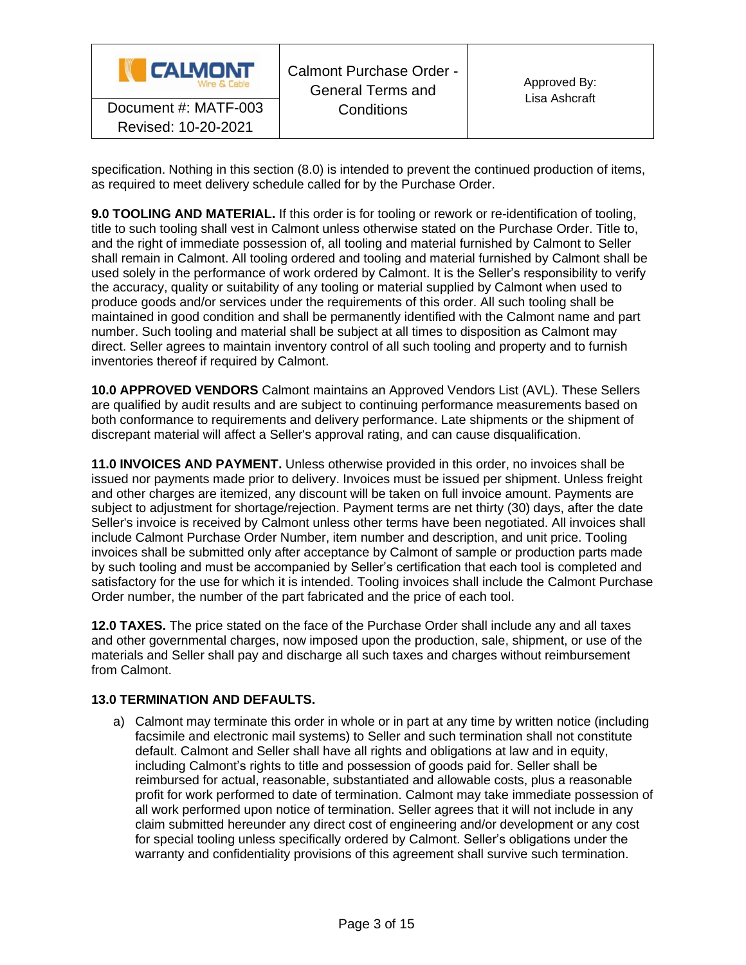| <b>CALMONT</b><br>Wire & Cable | Calmont Purchase Order -<br><b>General Terms and</b> | Approved By:<br>Lisa Ashcraft |
|--------------------------------|------------------------------------------------------|-------------------------------|
| Document #: MATF-003           | Conditions                                           |                               |
| Revised: 10-20-2021            |                                                      |                               |

specification. Nothing in this section (8.0) is intended to prevent the continued production of items, as required to meet delivery schedule called for by the Purchase Order.

**9.0 TOOLING AND MATERIAL.** If this order is for tooling or rework or re-identification of tooling, title to such tooling shall vest in Calmont unless otherwise stated on the Purchase Order. Title to, and the right of immediate possession of, all tooling and material furnished by Calmont to Seller shall remain in Calmont. All tooling ordered and tooling and material furnished by Calmont shall be used solely in the performance of work ordered by Calmont. It is the Seller's responsibility to verify the accuracy, quality or suitability of any tooling or material supplied by Calmont when used to produce goods and/or services under the requirements of this order. All such tooling shall be maintained in good condition and shall be permanently identified with the Calmont name and part number. Such tooling and material shall be subject at all times to disposition as Calmont may direct. Seller agrees to maintain inventory control of all such tooling and property and to furnish inventories thereof if required by Calmont.

**10.0 APPROVED VENDORS** Calmont maintains an Approved Vendors List (AVL). These Sellers are qualified by audit results and are subject to continuing performance measurements based on both conformance to requirements and delivery performance. Late shipments or the shipment of discrepant material will affect a Seller's approval rating, and can cause disqualification.

**11.0 INVOICES AND PAYMENT.** Unless otherwise provided in this order, no invoices shall be issued nor payments made prior to delivery. Invoices must be issued per shipment. Unless freight and other charges are itemized, any discount will be taken on full invoice amount. Payments are subject to adjustment for shortage/rejection. Payment terms are net thirty (30) days, after the date Seller's invoice is received by Calmont unless other terms have been negotiated. All invoices shall include Calmont Purchase Order Number, item number and description, and unit price. Tooling invoices shall be submitted only after acceptance by Calmont of sample or production parts made by such tooling and must be accompanied by Seller's certification that each tool is completed and satisfactory for the use for which it is intended. Tooling invoices shall include the Calmont Purchase Order number, the number of the part fabricated and the price of each tool.

**12.0 TAXES.** The price stated on the face of the Purchase Order shall include any and all taxes and other governmental charges, now imposed upon the production, sale, shipment, or use of the materials and Seller shall pay and discharge all such taxes and charges without reimbursement from Calmont.

## **13.0 TERMINATION AND DEFAULTS.**

a) Calmont may terminate this order in whole or in part at any time by written notice (including facsimile and electronic mail systems) to Seller and such termination shall not constitute default. Calmont and Seller shall have all rights and obligations at law and in equity, including Calmont's rights to title and possession of goods paid for. Seller shall be reimbursed for actual, reasonable, substantiated and allowable costs, plus a reasonable profit for work performed to date of termination. Calmont may take immediate possession of all work performed upon notice of termination. Seller agrees that it will not include in any claim submitted hereunder any direct cost of engineering and/or development or any cost for special tooling unless specifically ordered by Calmont. Seller's obligations under the warranty and confidentiality provisions of this agreement shall survive such termination.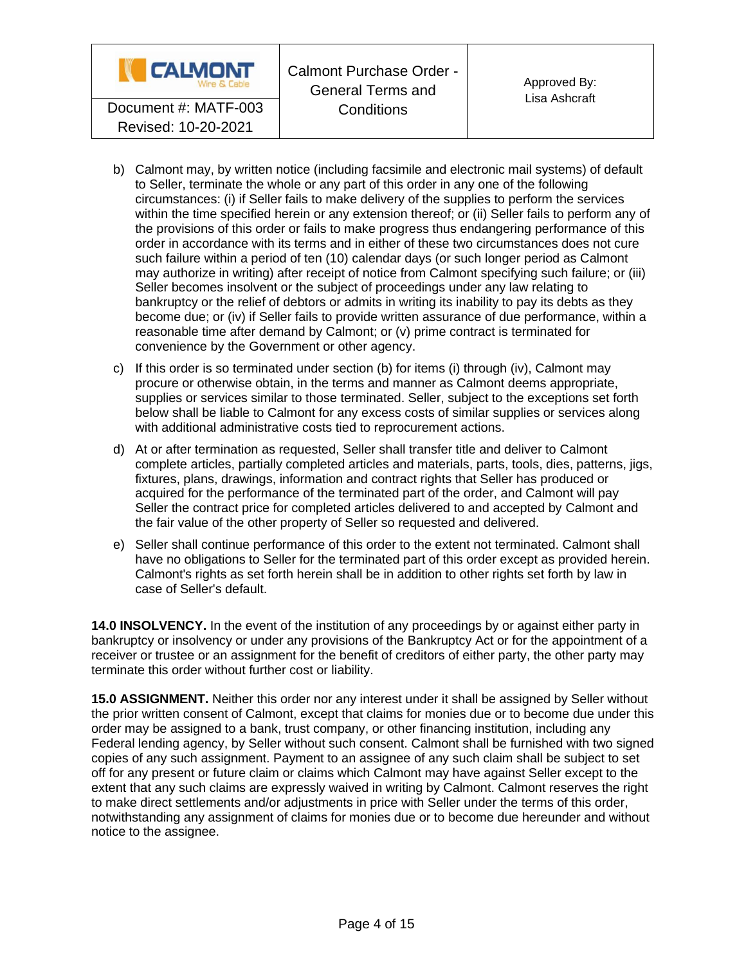

- b) Calmont may, by written notice (including facsimile and electronic mail systems) of default to Seller, terminate the whole or any part of this order in any one of the following circumstances: (i) if Seller fails to make delivery of the supplies to perform the services within the time specified herein or any extension thereof; or (ii) Seller fails to perform any of the provisions of this order or fails to make progress thus endangering performance of this order in accordance with its terms and in either of these two circumstances does not cure such failure within a period of ten (10) calendar days (or such longer period as Calmont may authorize in writing) after receipt of notice from Calmont specifying such failure; or (iii) Seller becomes insolvent or the subject of proceedings under any law relating to bankruptcy or the relief of debtors or admits in writing its inability to pay its debts as they become due; or (iv) if Seller fails to provide written assurance of due performance, within a reasonable time after demand by Calmont; or (v) prime contract is terminated for convenience by the Government or other agency.
- c) If this order is so terminated under section (b) for items (i) through (iv), Calmont may procure or otherwise obtain, in the terms and manner as Calmont deems appropriate, supplies or services similar to those terminated. Seller, subject to the exceptions set forth below shall be liable to Calmont for any excess costs of similar supplies or services along with additional administrative costs tied to reprocurement actions.
- d) At or after termination as requested, Seller shall transfer title and deliver to Calmont complete articles, partially completed articles and materials, parts, tools, dies, patterns, jigs, fixtures, plans, drawings, information and contract rights that Seller has produced or acquired for the performance of the terminated part of the order, and Calmont will pay Seller the contract price for completed articles delivered to and accepted by Calmont and the fair value of the other property of Seller so requested and delivered.
- e) Seller shall continue performance of this order to the extent not terminated. Calmont shall have no obligations to Seller for the terminated part of this order except as provided herein. Calmont's rights as set forth herein shall be in addition to other rights set forth by law in case of Seller's default.

**14.0 INSOLVENCY.** In the event of the institution of any proceedings by or against either party in bankruptcy or insolvency or under any provisions of the Bankruptcy Act or for the appointment of a receiver or trustee or an assignment for the benefit of creditors of either party, the other party may terminate this order without further cost or liability.

**15.0 ASSIGNMENT.** Neither this order nor any interest under it shall be assigned by Seller without the prior written consent of Calmont, except that claims for monies due or to become due under this order may be assigned to a bank, trust company, or other financing institution, including any Federal lending agency, by Seller without such consent. Calmont shall be furnished with two signed copies of any such assignment. Payment to an assignee of any such claim shall be subject to set off for any present or future claim or claims which Calmont may have against Seller except to the extent that any such claims are expressly waived in writing by Calmont. Calmont reserves the right to make direct settlements and/or adjustments in price with Seller under the terms of this order, notwithstanding any assignment of claims for monies due or to become due hereunder and without notice to the assignee.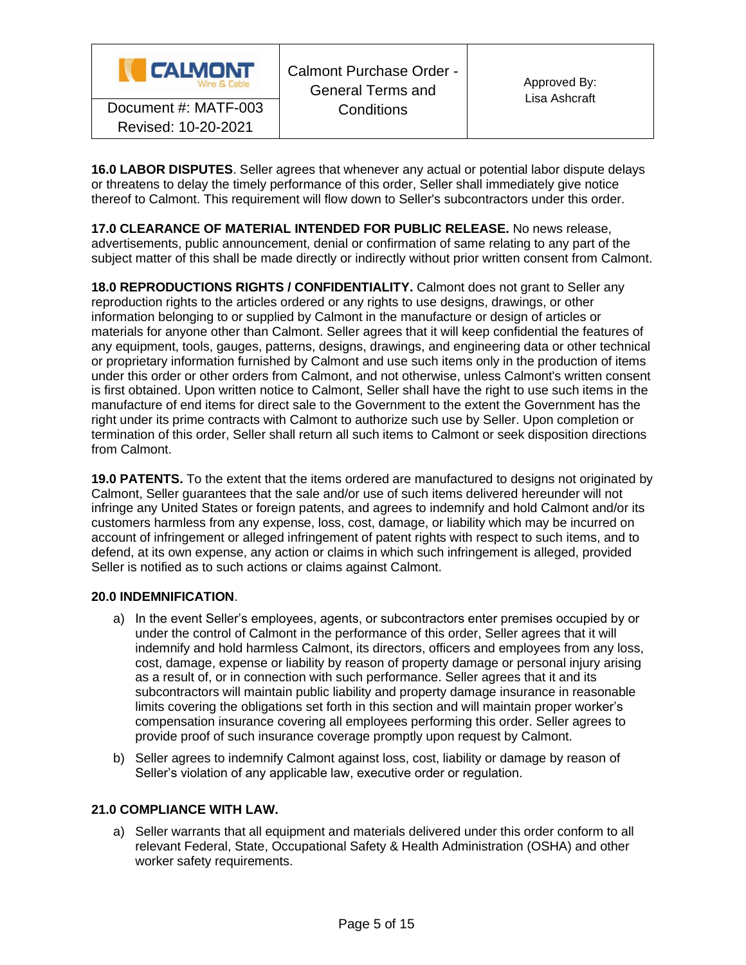

**16.0 LABOR DISPUTES**. Seller agrees that whenever any actual or potential labor dispute delays or threatens to delay the timely performance of this order, Seller shall immediately give notice thereof to Calmont. This requirement will flow down to Seller's subcontractors under this order.

**17.0 CLEARANCE OF MATERIAL INTENDED FOR PUBLIC RELEASE.** No news release, advertisements, public announcement, denial or confirmation of same relating to any part of the subject matter of this shall be made directly or indirectly without prior written consent from Calmont.

**18.0 REPRODUCTIONS RIGHTS / CONFIDENTIALITY.** Calmont does not grant to Seller any reproduction rights to the articles ordered or any rights to use designs, drawings, or other information belonging to or supplied by Calmont in the manufacture or design of articles or materials for anyone other than Calmont. Seller agrees that it will keep confidential the features of any equipment, tools, gauges, patterns, designs, drawings, and engineering data or other technical or proprietary information furnished by Calmont and use such items only in the production of items under this order or other orders from Calmont, and not otherwise, unless Calmont's written consent is first obtained. Upon written notice to Calmont, Seller shall have the right to use such items in the manufacture of end items for direct sale to the Government to the extent the Government has the right under its prime contracts with Calmont to authorize such use by Seller. Upon completion or termination of this order, Seller shall return all such items to Calmont or seek disposition directions from Calmont.

**19.0 PATENTS.** To the extent that the items ordered are manufactured to designs not originated by Calmont, Seller guarantees that the sale and/or use of such items delivered hereunder will not infringe any United States or foreign patents, and agrees to indemnify and hold Calmont and/or its customers harmless from any expense, loss, cost, damage, or liability which may be incurred on account of infringement or alleged infringement of patent rights with respect to such items, and to defend, at its own expense, any action or claims in which such infringement is alleged, provided Seller is notified as to such actions or claims against Calmont.

### **20.0 INDEMNIFICATION**.

- a) In the event Seller's employees, agents, or subcontractors enter premises occupied by or under the control of Calmont in the performance of this order, Seller agrees that it will indemnify and hold harmless Calmont, its directors, officers and employees from any loss, cost, damage, expense or liability by reason of property damage or personal injury arising as a result of, or in connection with such performance. Seller agrees that it and its subcontractors will maintain public liability and property damage insurance in reasonable limits covering the obligations set forth in this section and will maintain proper worker's compensation insurance covering all employees performing this order. Seller agrees to provide proof of such insurance coverage promptly upon request by Calmont.
- b) Seller agrees to indemnify Calmont against loss, cost, liability or damage by reason of Seller's violation of any applicable law, executive order or regulation.

### **21.0 COMPLIANCE WITH LAW.**

a) Seller warrants that all equipment and materials delivered under this order conform to all relevant Federal, State, Occupational Safety & Health Administration (OSHA) and other worker safety requirements.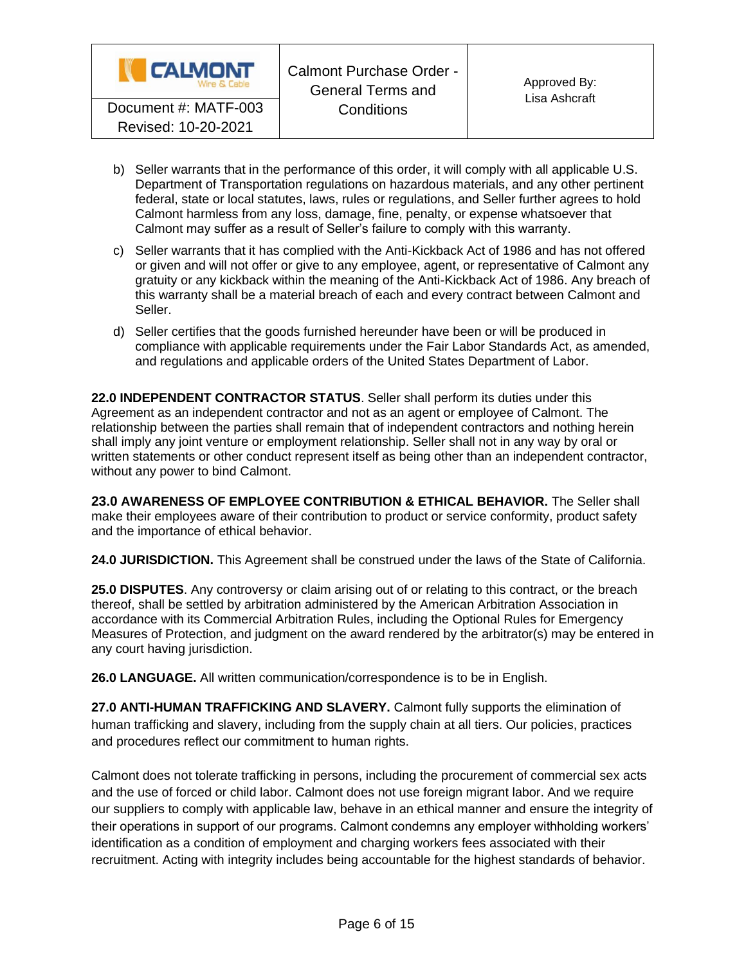

- b) Seller warrants that in the performance of this order, it will comply with all applicable U.S. Department of Transportation regulations on hazardous materials, and any other pertinent federal, state or local statutes, laws, rules or regulations, and Seller further agrees to hold Calmont harmless from any loss, damage, fine, penalty, or expense whatsoever that Calmont may suffer as a result of Seller's failure to comply with this warranty.
- c) Seller warrants that it has complied with the Anti-Kickback Act of 1986 and has not offered or given and will not offer or give to any employee, agent, or representative of Calmont any gratuity or any kickback within the meaning of the Anti-Kickback Act of 1986. Any breach of this warranty shall be a material breach of each and every contract between Calmont and Seller.
- d) Seller certifies that the goods furnished hereunder have been or will be produced in compliance with applicable requirements under the Fair Labor Standards Act, as amended, and regulations and applicable orders of the United States Department of Labor.

**22.0 INDEPENDENT CONTRACTOR STATUS**. Seller shall perform its duties under this Agreement as an independent contractor and not as an agent or employee of Calmont. The relationship between the parties shall remain that of independent contractors and nothing herein shall imply any joint venture or employment relationship. Seller shall not in any way by oral or written statements or other conduct represent itself as being other than an independent contractor, without any power to bind Calmont.

**23.0 AWARENESS OF EMPLOYEE CONTRIBUTION & ETHICAL BEHAVIOR.** The Seller shall make their employees aware of their contribution to product or service conformity, product safety and the importance of ethical behavior.

**24.0 JURISDICTION.** This Agreement shall be construed under the laws of the State of California.

**25.0 DISPUTES**. Any controversy or claim arising out of or relating to this contract, or the breach thereof, shall be settled by arbitration administered by the American Arbitration Association in accordance with its Commercial Arbitration Rules, including the Optional Rules for Emergency Measures of Protection, and judgment on the award rendered by the arbitrator(s) may be entered in any court having jurisdiction.

**26.0 LANGUAGE.** All written communication/correspondence is to be in English.

**27.0 ANTI-HUMAN TRAFFICKING AND SLAVERY.** Calmont fully supports the elimination of human trafficking and slavery, including from the supply chain at all tiers. Our policies, practices and procedures reflect our commitment to human rights.

Calmont does not tolerate trafficking in persons, including the procurement of commercial sex acts and the use of forced or child labor. Calmont does not use foreign migrant labor. And we require our suppliers to comply with applicable law, behave in an ethical manner and ensure the integrity of their operations in support of our programs. Calmont condemns any employer withholding workers' identification as a condition of employment and charging workers fees associated with their recruitment. Acting with integrity includes being accountable for the highest standards of behavior.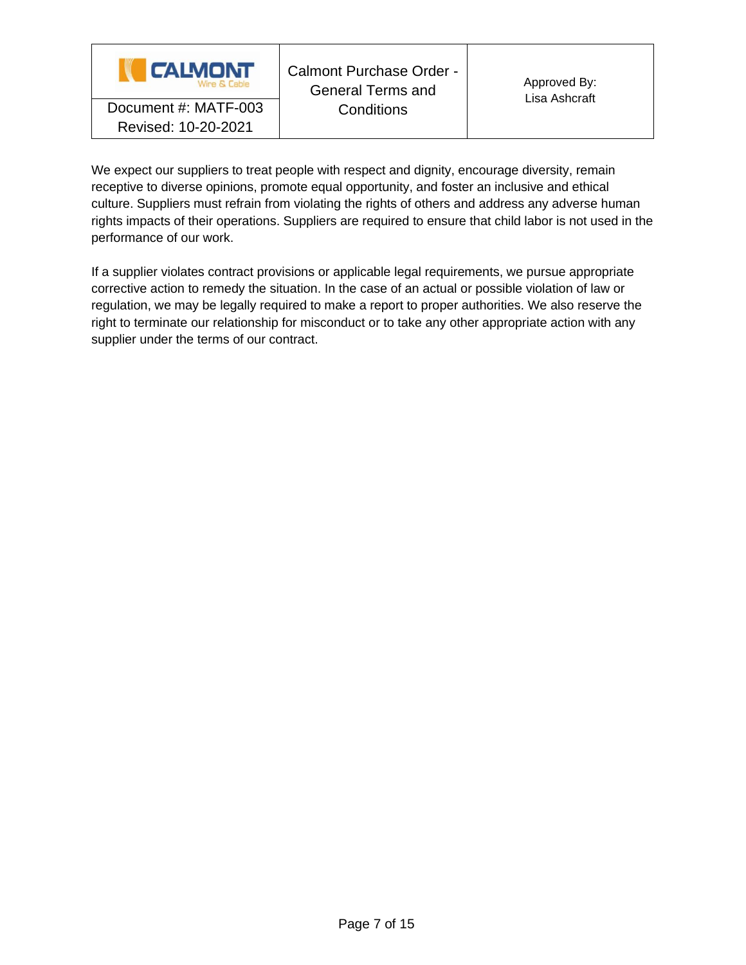

We expect our suppliers to treat people with respect and dignity, encourage diversity, remain receptive to diverse opinions, promote equal opportunity, and foster an inclusive and ethical culture. Suppliers must refrain from violating the rights of others and address any adverse human rights impacts of their operations. Suppliers are required to ensure that child labor is not used in the performance of our work.

If a supplier violates contract provisions or applicable legal requirements, we pursue appropriate corrective action to remedy the situation. In the case of an actual or possible violation of law or regulation, we may be legally required to make a report to proper authorities. We also reserve the right to terminate our relationship for misconduct or to take any other appropriate action with any supplier under the terms of our contract.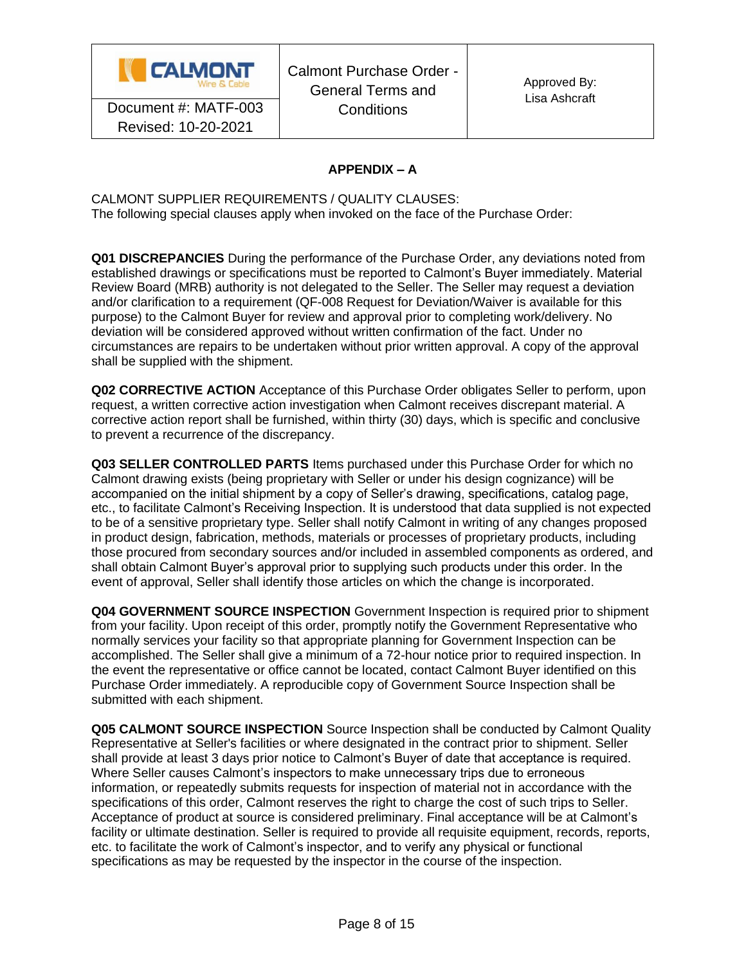

# **APPENDIX – A**

CALMONT SUPPLIER REQUIREMENTS / QUALITY CLAUSES: The following special clauses apply when invoked on the face of the Purchase Order:

**Q01 DISCREPANCIES** During the performance of the Purchase Order, any deviations noted from established drawings or specifications must be reported to Calmont's Buyer immediately. Material Review Board (MRB) authority is not delegated to the Seller. The Seller may request a deviation and/or clarification to a requirement (QF-008 Request for Deviation/Waiver is available for this purpose) to the Calmont Buyer for review and approval prior to completing work/delivery. No deviation will be considered approved without written confirmation of the fact. Under no circumstances are repairs to be undertaken without prior written approval. A copy of the approval shall be supplied with the shipment.

**Q02 CORRECTIVE ACTION** Acceptance of this Purchase Order obligates Seller to perform, upon request, a written corrective action investigation when Calmont receives discrepant material. A corrective action report shall be furnished, within thirty (30) days, which is specific and conclusive to prevent a recurrence of the discrepancy.

**Q03 SELLER CONTROLLED PARTS** Items purchased under this Purchase Order for which no Calmont drawing exists (being proprietary with Seller or under his design cognizance) will be accompanied on the initial shipment by a copy of Seller's drawing, specifications, catalog page, etc., to facilitate Calmont's Receiving Inspection. It is understood that data supplied is not expected to be of a sensitive proprietary type. Seller shall notify Calmont in writing of any changes proposed in product design, fabrication, methods, materials or processes of proprietary products, including those procured from secondary sources and/or included in assembled components as ordered, and shall obtain Calmont Buyer's approval prior to supplying such products under this order. In the event of approval, Seller shall identify those articles on which the change is incorporated.

**Q04 GOVERNMENT SOURCE INSPECTION** Government Inspection is required prior to shipment from your facility. Upon receipt of this order, promptly notify the Government Representative who normally services your facility so that appropriate planning for Government Inspection can be accomplished. The Seller shall give a minimum of a 72-hour notice prior to required inspection. In the event the representative or office cannot be located, contact Calmont Buyer identified on this Purchase Order immediately. A reproducible copy of Government Source Inspection shall be submitted with each shipment.

**Q05 CALMONT SOURCE INSPECTION** Source Inspection shall be conducted by Calmont Quality Representative at Seller's facilities or where designated in the contract prior to shipment. Seller shall provide at least 3 days prior notice to Calmont's Buyer of date that acceptance is required. Where Seller causes Calmont's inspectors to make unnecessary trips due to erroneous information, or repeatedly submits requests for inspection of material not in accordance with the specifications of this order, Calmont reserves the right to charge the cost of such trips to Seller. Acceptance of product at source is considered preliminary. Final acceptance will be at Calmont's facility or ultimate destination. Seller is required to provide all requisite equipment, records, reports, etc. to facilitate the work of Calmont's inspector, and to verify any physical or functional specifications as may be requested by the inspector in the course of the inspection.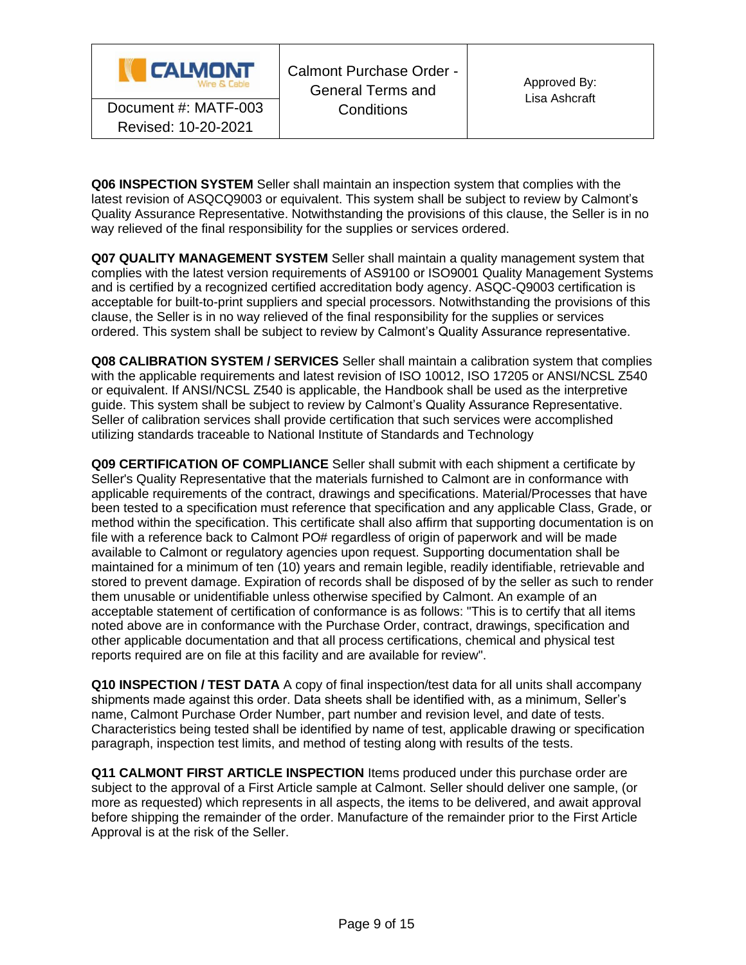

Calmont Purchase Order - General Terms and **Conditions** Document #: MATF-003 Conditions

**Q06 INSPECTION SYSTEM** Seller shall maintain an inspection system that complies with the latest revision of ASQCQ9003 or equivalent. This system shall be subject to review by Calmont's Quality Assurance Representative. Notwithstanding the provisions of this clause, the Seller is in no way relieved of the final responsibility for the supplies or services ordered.

**Q07 QUALITY MANAGEMENT SYSTEM** Seller shall maintain a quality management system that complies with the latest version requirements of AS9100 or ISO9001 Quality Management Systems and is certified by a recognized certified accreditation body agency. ASQC-Q9003 certification is acceptable for built-to-print suppliers and special processors. Notwithstanding the provisions of this clause, the Seller is in no way relieved of the final responsibility for the supplies or services ordered. This system shall be subject to review by Calmont's Quality Assurance representative.

**Q08 CALIBRATION SYSTEM / SERVICES** Seller shall maintain a calibration system that complies with the applicable requirements and latest revision of ISO 10012, ISO 17205 or ANSI/NCSL Z540 or equivalent. If ANSI/NCSL Z540 is applicable, the Handbook shall be used as the interpretive guide. This system shall be subject to review by Calmont's Quality Assurance Representative. Seller of calibration services shall provide certification that such services were accomplished utilizing standards traceable to National Institute of Standards and Technology

**Q09 CERTIFICATION OF COMPLIANCE** Seller shall submit with each shipment a certificate by Seller's Quality Representative that the materials furnished to Calmont are in conformance with applicable requirements of the contract, drawings and specifications. Material/Processes that have been tested to a specification must reference that specification and any applicable Class, Grade, or method within the specification. This certificate shall also affirm that supporting documentation is on file with a reference back to Calmont PO# regardless of origin of paperwork and will be made available to Calmont or regulatory agencies upon request. Supporting documentation shall be maintained for a minimum of ten (10) years and remain legible, readily identifiable, retrievable and stored to prevent damage. Expiration of records shall be disposed of by the seller as such to render them unusable or unidentifiable unless otherwise specified by Calmont. An example of an acceptable statement of certification of conformance is as follows: "This is to certify that all items noted above are in conformance with the Purchase Order, contract, drawings, specification and other applicable documentation and that all process certifications, chemical and physical test reports required are on file at this facility and are available for review".

**Q10 INSPECTION / TEST DATA** A copy of final inspection/test data for all units shall accompany shipments made against this order. Data sheets shall be identified with, as a minimum, Seller's name, Calmont Purchase Order Number, part number and revision level, and date of tests. Characteristics being tested shall be identified by name of test, applicable drawing or specification paragraph, inspection test limits, and method of testing along with results of the tests.

**Q11 CALMONT FIRST ARTICLE INSPECTION** Items produced under this purchase order are subject to the approval of a First Article sample at Calmont. Seller should deliver one sample, (or more as requested) which represents in all aspects, the items to be delivered, and await approval before shipping the remainder of the order. Manufacture of the remainder prior to the First Article Approval is at the risk of the Seller.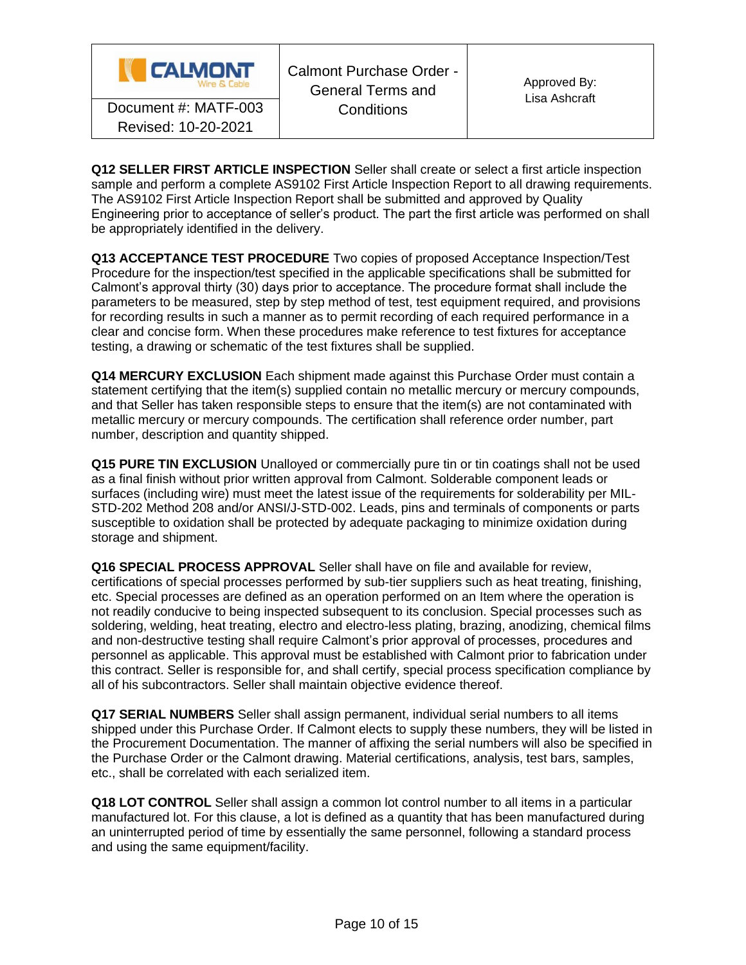

**Q12 SELLER FIRST ARTICLE INSPECTION** Seller shall create or select a first article inspection sample and perform a complete AS9102 First Article Inspection Report to all drawing requirements. The AS9102 First Article Inspection Report shall be submitted and approved by Quality Engineering prior to acceptance of seller's product. The part the first article was performed on shall be appropriately identified in the delivery.

**Q13 ACCEPTANCE TEST PROCEDURE** Two copies of proposed Acceptance Inspection/Test Procedure for the inspection/test specified in the applicable specifications shall be submitted for Calmont's approval thirty (30) days prior to acceptance. The procedure format shall include the parameters to be measured, step by step method of test, test equipment required, and provisions for recording results in such a manner as to permit recording of each required performance in a clear and concise form. When these procedures make reference to test fixtures for acceptance testing, a drawing or schematic of the test fixtures shall be supplied.

**Q14 MERCURY EXCLUSION** Each shipment made against this Purchase Order must contain a statement certifying that the item(s) supplied contain no metallic mercury or mercury compounds, and that Seller has taken responsible steps to ensure that the item(s) are not contaminated with metallic mercury or mercury compounds. The certification shall reference order number, part number, description and quantity shipped.

**Q15 PURE TIN EXCLUSION** Unalloyed or commercially pure tin or tin coatings shall not be used as a final finish without prior written approval from Calmont. Solderable component leads or surfaces (including wire) must meet the latest issue of the requirements for solderability per MIL-STD-202 Method 208 and/or ANSI/J-STD-002. Leads, pins and terminals of components or parts susceptible to oxidation shall be protected by adequate packaging to minimize oxidation during storage and shipment.

**Q16 SPECIAL PROCESS APPROVAL** Seller shall have on file and available for review, certifications of special processes performed by sub-tier suppliers such as heat treating, finishing, etc. Special processes are defined as an operation performed on an Item where the operation is not readily conducive to being inspected subsequent to its conclusion. Special processes such as soldering, welding, heat treating, electro and electro-less plating, brazing, anodizing, chemical films and non-destructive testing shall require Calmont's prior approval of processes, procedures and personnel as applicable. This approval must be established with Calmont prior to fabrication under this contract. Seller is responsible for, and shall certify, special process specification compliance by all of his subcontractors. Seller shall maintain objective evidence thereof.

**Q17 SERIAL NUMBERS** Seller shall assign permanent, individual serial numbers to all items shipped under this Purchase Order. If Calmont elects to supply these numbers, they will be listed in the Procurement Documentation. The manner of affixing the serial numbers will also be specified in the Purchase Order or the Calmont drawing. Material certifications, analysis, test bars, samples, etc., shall be correlated with each serialized item.

**Q18 LOT CONTROL** Seller shall assign a common lot control number to all items in a particular manufactured lot. For this clause, a lot is defined as a quantity that has been manufactured during an uninterrupted period of time by essentially the same personnel, following a standard process and using the same equipment/facility.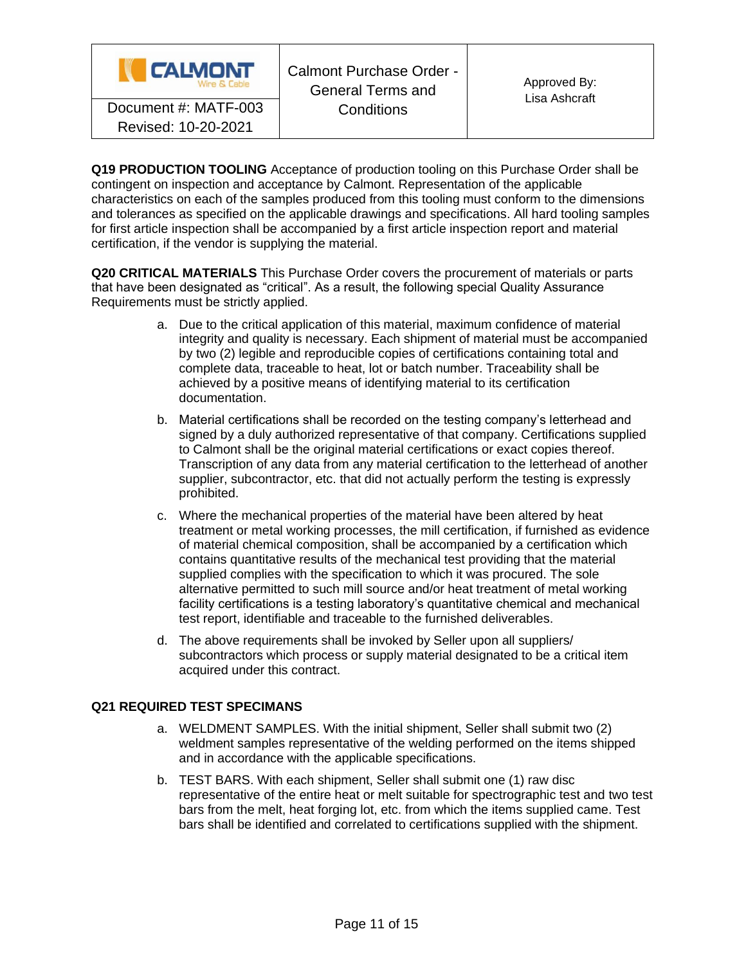

**Q19 PRODUCTION TOOLING** Acceptance of production tooling on this Purchase Order shall be contingent on inspection and acceptance by Calmont. Representation of the applicable characteristics on each of the samples produced from this tooling must conform to the dimensions and tolerances as specified on the applicable drawings and specifications. All hard tooling samples for first article inspection shall be accompanied by a first article inspection report and material certification, if the vendor is supplying the material.

**Q20 CRITICAL MATERIALS** This Purchase Order covers the procurement of materials or parts that have been designated as "critical". As a result, the following special Quality Assurance Requirements must be strictly applied.

- a. Due to the critical application of this material, maximum confidence of material integrity and quality is necessary. Each shipment of material must be accompanied by two (2) legible and reproducible copies of certifications containing total and complete data, traceable to heat, lot or batch number. Traceability shall be achieved by a positive means of identifying material to its certification documentation.
- b. Material certifications shall be recorded on the testing company's letterhead and signed by a duly authorized representative of that company. Certifications supplied to Calmont shall be the original material certifications or exact copies thereof. Transcription of any data from any material certification to the letterhead of another supplier, subcontractor, etc. that did not actually perform the testing is expressly prohibited.
- c. Where the mechanical properties of the material have been altered by heat treatment or metal working processes, the mill certification, if furnished as evidence of material chemical composition, shall be accompanied by a certification which contains quantitative results of the mechanical test providing that the material supplied complies with the specification to which it was procured. The sole alternative permitted to such mill source and/or heat treatment of metal working facility certifications is a testing laboratory's quantitative chemical and mechanical test report, identifiable and traceable to the furnished deliverables.
- d. The above requirements shall be invoked by Seller upon all suppliers/ subcontractors which process or supply material designated to be a critical item acquired under this contract.

## **Q21 REQUIRED TEST SPECIMANS**

- a. WELDMENT SAMPLES. With the initial shipment, Seller shall submit two (2) weldment samples representative of the welding performed on the items shipped and in accordance with the applicable specifications.
- b. TEST BARS. With each shipment, Seller shall submit one (1) raw disc representative of the entire heat or melt suitable for spectrographic test and two test bars from the melt, heat forging lot, etc. from which the items supplied came. Test bars shall be identified and correlated to certifications supplied with the shipment.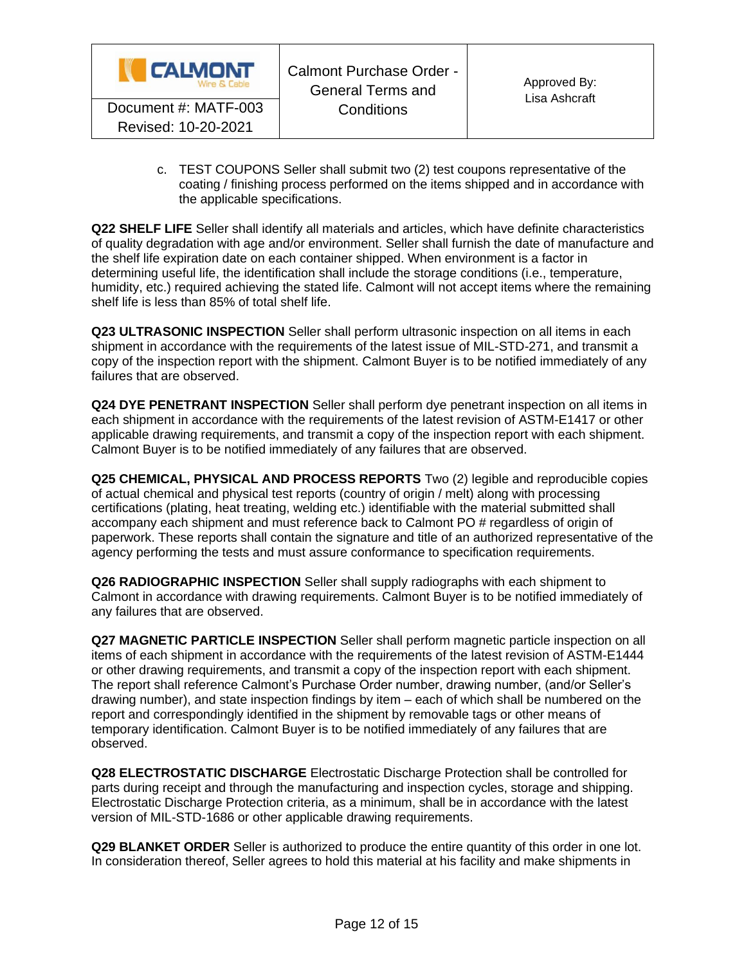

c. TEST COUPONS Seller shall submit two (2) test coupons representative of the coating / finishing process performed on the items shipped and in accordance with the applicable specifications.

**Q22 SHELF LIFE** Seller shall identify all materials and articles, which have definite characteristics of quality degradation with age and/or environment. Seller shall furnish the date of manufacture and the shelf life expiration date on each container shipped. When environment is a factor in determining useful life, the identification shall include the storage conditions (i.e., temperature, humidity, etc.) required achieving the stated life. Calmont will not accept items where the remaining shelf life is less than 85% of total shelf life.

**Q23 ULTRASONIC INSPECTION** Seller shall perform ultrasonic inspection on all items in each shipment in accordance with the requirements of the latest issue of MIL-STD-271, and transmit a copy of the inspection report with the shipment. Calmont Buyer is to be notified immediately of any failures that are observed.

**Q24 DYE PENETRANT INSPECTION** Seller shall perform dye penetrant inspection on all items in each shipment in accordance with the requirements of the latest revision of ASTM-E1417 or other applicable drawing requirements, and transmit a copy of the inspection report with each shipment. Calmont Buyer is to be notified immediately of any failures that are observed.

**Q25 CHEMICAL, PHYSICAL AND PROCESS REPORTS** Two (2) legible and reproducible copies of actual chemical and physical test reports (country of origin / melt) along with processing certifications (plating, heat treating, welding etc.) identifiable with the material submitted shall accompany each shipment and must reference back to Calmont PO # regardless of origin of paperwork. These reports shall contain the signature and title of an authorized representative of the agency performing the tests and must assure conformance to specification requirements.

**Q26 RADIOGRAPHIC INSPECTION** Seller shall supply radiographs with each shipment to Calmont in accordance with drawing requirements. Calmont Buyer is to be notified immediately of any failures that are observed.

**Q27 MAGNETIC PARTICLE INSPECTION** Seller shall perform magnetic particle inspection on all items of each shipment in accordance with the requirements of the latest revision of ASTM-E1444 or other drawing requirements, and transmit a copy of the inspection report with each shipment. The report shall reference Calmont's Purchase Order number, drawing number, (and/or Seller's drawing number), and state inspection findings by item – each of which shall be numbered on the report and correspondingly identified in the shipment by removable tags or other means of temporary identification. Calmont Buyer is to be notified immediately of any failures that are observed.

**Q28 ELECTROSTATIC DISCHARGE** Electrostatic Discharge Protection shall be controlled for parts during receipt and through the manufacturing and inspection cycles, storage and shipping. Electrostatic Discharge Protection criteria, as a minimum, shall be in accordance with the latest version of MIL-STD-1686 or other applicable drawing requirements.

**Q29 BLANKET ORDER** Seller is authorized to produce the entire quantity of this order in one lot. In consideration thereof, Seller agrees to hold this material at his facility and make shipments in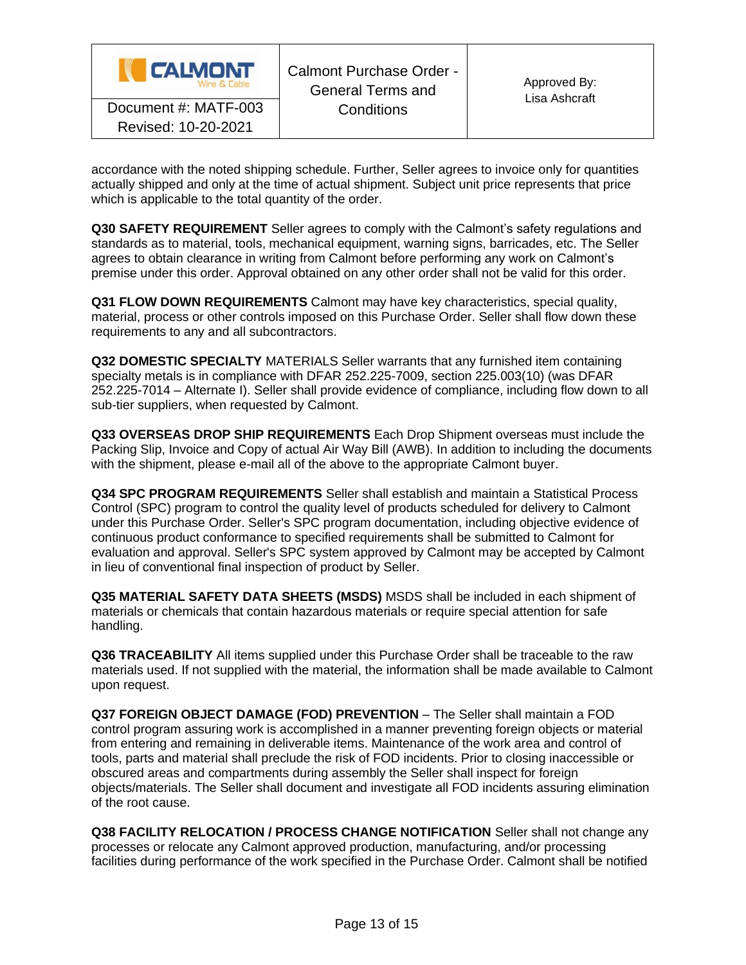| <b>CALMONT</b><br>Wine & Cable | Calmont Purchase Order -<br><b>General Terms and</b><br>Conditions | Approved By:<br>Lisa Ashcraft |
|--------------------------------|--------------------------------------------------------------------|-------------------------------|
| Document #: MATF-003           |                                                                    |                               |
| Revised: 10-20-2021            |                                                                    |                               |

accordance with the noted shipping schedule. Further, Seller agrees to invoice only for quantities actually shipped and only at the time of actual shipment. Subject unit price represents that price which is applicable to the total quantity of the order.

**Q30 SAFETY REQUIREMENT** Seller agrees to comply with the Calmont's safety regulations and standards as to material, tools, mechanical equipment, warning signs, barricades, etc. The Seller agrees to obtain clearance in writing from Calmont before performing any work on Calmont's premise under this order. Approval obtained on any other order shall not be valid for this order.

**Q31 FLOW DOWN REQUIREMENTS** Calmont may have key characteristics, special quality, material, process or other controls imposed on this Purchase Order. Seller shall flow down these requirements to any and all subcontractors.

**Q32 DOMESTIC SPECIALTY** MATERIALS Seller warrants that any furnished item containing specialty metals is in compliance with DFAR 252.225-7009, section 225.003(10) (was DFAR 252.225-7014 – Alternate I). Seller shall provide evidence of compliance, including flow down to all sub-tier suppliers, when requested by Calmont.

**Q33 OVERSEAS DROP SHIP REQUIREMENTS** Each Drop Shipment overseas must include the Packing Slip, Invoice and Copy of actual Air Way Bill (AWB). In addition to including the documents with the shipment, please e-mail all of the above to the appropriate Calmont buyer.

**Q34 SPC PROGRAM REQUIREMENTS** Seller shall establish and maintain a Statistical Process Control (SPC) program to control the quality level of products scheduled for delivery to Calmont under this Purchase Order. Seller's SPC program documentation, including objective evidence of continuous product conformance to specified requirements shall be submitted to Calmont for evaluation and approval. Seller's SPC system approved by Calmont may be accepted by Calmont in lieu of conventional final inspection of product by Seller.

**Q35 MATERIAL SAFETY DATA SHEETS (MSDS)** MSDS shall be included in each shipment of materials or chemicals that contain hazardous materials or require special attention for safe handling.

**Q36 TRACEABILITY** All items supplied under this Purchase Order shall be traceable to the raw materials used. If not supplied with the material, the information shall be made available to Calmont upon request.

**Q37 FOREIGN OBJECT DAMAGE (FOD) PREVENTION** – The Seller shall maintain a FOD control program assuring work is accomplished in a manner preventing foreign objects or material from entering and remaining in deliverable items. Maintenance of the work area and control of tools, parts and material shall preclude the risk of FOD incidents. Prior to closing inaccessible or obscured areas and compartments during assembly the Seller shall inspect for foreign objects/materials. The Seller shall document and investigate all FOD incidents assuring elimination of the root cause.

**Q38 FACILITY RELOCATION / PROCESS CHANGE NOTIFICATION** Seller shall not change any processes or relocate any Calmont approved production, manufacturing, and/or processing facilities during performance of the work specified in the Purchase Order. Calmont shall be notified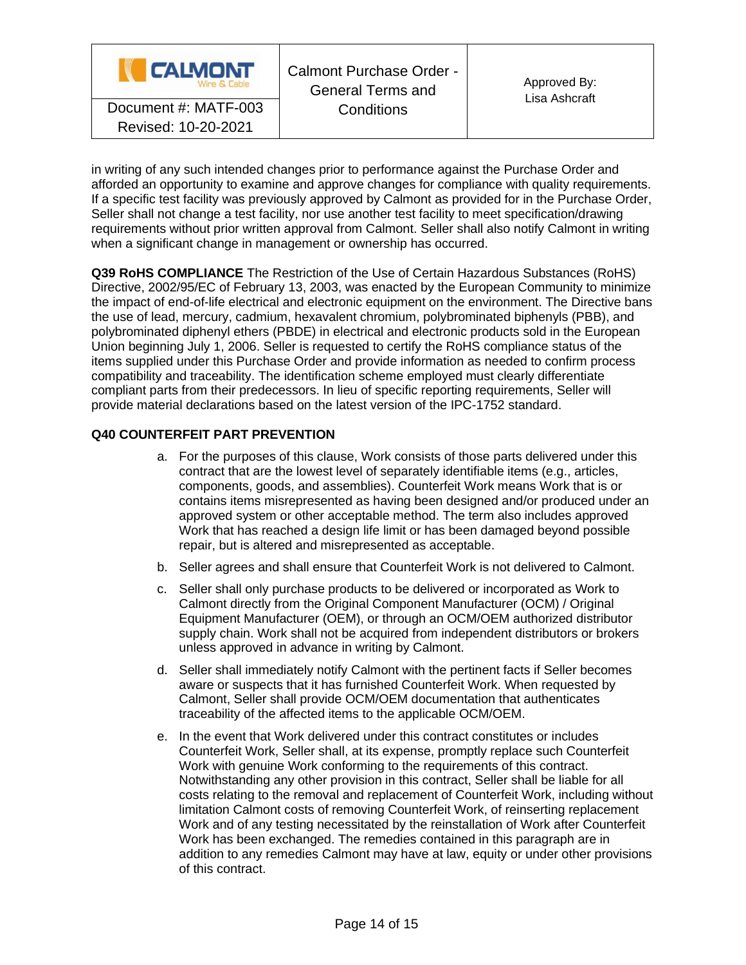

in writing of any such intended changes prior to performance against the Purchase Order and afforded an opportunity to examine and approve changes for compliance with quality requirements. If a specific test facility was previously approved by Calmont as provided for in the Purchase Order, Seller shall not change a test facility, nor use another test facility to meet specification/drawing requirements without prior written approval from Calmont. Seller shall also notify Calmont in writing when a significant change in management or ownership has occurred.

**Q39 RoHS COMPLIANCE** The Restriction of the Use of Certain Hazardous Substances (RoHS) Directive, 2002/95/EC of February 13, 2003, was enacted by the European Community to minimize the impact of end-of-life electrical and electronic equipment on the environment. The Directive bans the use of lead, mercury, cadmium, hexavalent chromium, polybrominated biphenyls (PBB), and polybrominated diphenyl ethers (PBDE) in electrical and electronic products sold in the European Union beginning July 1, 2006. Seller is requested to certify the RoHS compliance status of the items supplied under this Purchase Order and provide information as needed to confirm process compatibility and traceability. The identification scheme employed must clearly differentiate compliant parts from their predecessors. In lieu of specific reporting requirements, Seller will provide material declarations based on the latest version of the IPC-1752 standard.

## **Q40 COUNTERFEIT PART PREVENTION**

- a. For the purposes of this clause, Work consists of those parts delivered under this contract that are the lowest level of separately identifiable items (e.g., articles, components, goods, and assemblies). Counterfeit Work means Work that is or contains items misrepresented as having been designed and/or produced under an approved system or other acceptable method. The term also includes approved Work that has reached a design life limit or has been damaged beyond possible repair, but is altered and misrepresented as acceptable.
- b. Seller agrees and shall ensure that Counterfeit Work is not delivered to Calmont.
- c. Seller shall only purchase products to be delivered or incorporated as Work to Calmont directly from the Original Component Manufacturer (OCM) / Original Equipment Manufacturer (OEM), or through an OCM/OEM authorized distributor supply chain. Work shall not be acquired from independent distributors or brokers unless approved in advance in writing by Calmont.
- d. Seller shall immediately notify Calmont with the pertinent facts if Seller becomes aware or suspects that it has furnished Counterfeit Work. When requested by Calmont, Seller shall provide OCM/OEM documentation that authenticates traceability of the affected items to the applicable OCM/OEM.
- e. In the event that Work delivered under this contract constitutes or includes Counterfeit Work, Seller shall, at its expense, promptly replace such Counterfeit Work with genuine Work conforming to the requirements of this contract. Notwithstanding any other provision in this contract, Seller shall be liable for all costs relating to the removal and replacement of Counterfeit Work, including without limitation Calmont costs of removing Counterfeit Work, of reinserting replacement Work and of any testing necessitated by the reinstallation of Work after Counterfeit Work has been exchanged. The remedies contained in this paragraph are in addition to any remedies Calmont may have at law, equity or under other provisions of this contract.